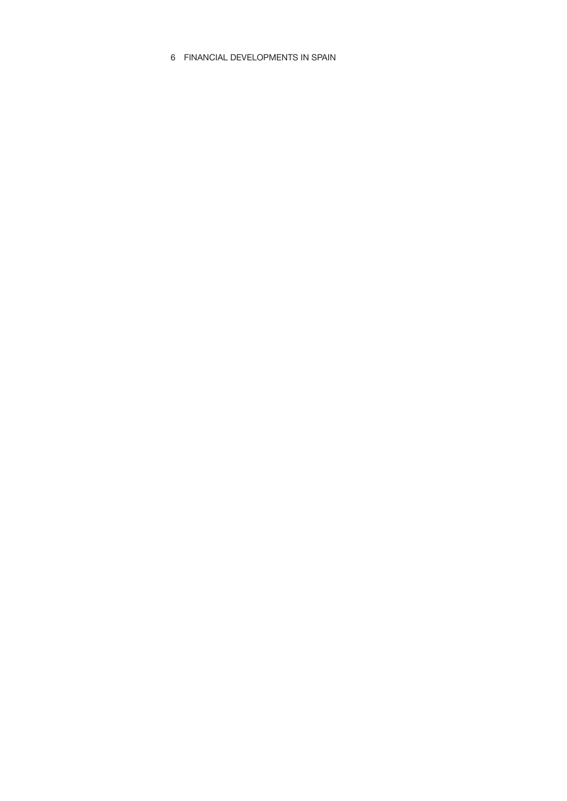# 6 FINANCIAL DEVELOPMENTS IN SPAIN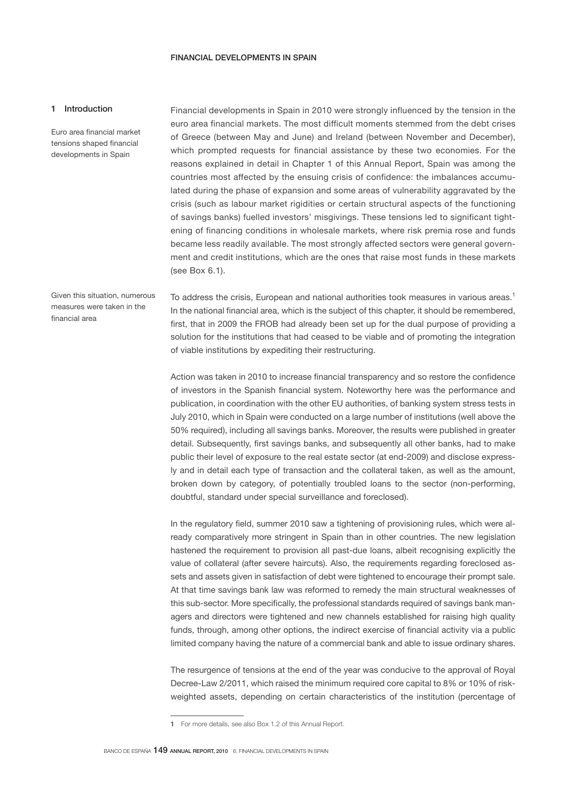#### 1 Introduction

Euro area financial market tensions shaped financial developments in Spain

Financial developments in Spain in 2010 were strongly influenced by the tension in the euro area financial markets. The most difficult moments stemmed from the debt crises of Greece (between May and June) and Ireland (between November and December), which prompted requests for financial assistance by these two economies. For the reasons explained in detail in Chapter 1 of this Annual Report, Spain was among the countries most affected by the ensuing crisis of confidence: the imbalances accumulated during the phase of expansion and some areas of vulnerability aggravated by the crisis (such as labour market rigidities or certain structural aspects of the functioning of savings banks) fuelled investors' misgivings. These tensions led to significant tightening of financing conditions in wholesale markets, where risk premia rose and funds became less readily available. The most strongly affected sectors were general government and credit institutions, which are the ones that raise most funds in these markets (see Box 6.1).

Given this situation, numerous measures were taken in the financial area

To address the crisis, European and national authorities took measures in various areas.<sup>1</sup> In the national financial area, which is the subject of this chapter, it should be remembered, first, that in 2009 the FROB had already been set up for the dual purpose of providing a solution for the institutions that had ceased to be viable and of promoting the integration of viable institutions by expediting their restructuring.

Action was taken in 2010 to increase financial transparency and so restore the confidence of investors in the Spanish financial system. Noteworthy here was the performance and publication, in coordination with the other EU authorities, of banking system stress tests in July 2010, which in Spain were conducted on a large number of institutions (well above the 50% required), including all savings banks. Moreover, the results were published in greater detail. Subsequently, first savings banks, and subsequently all other banks, had to make public their level of exposure to the real estate sector (at end-2009) and disclose expressly and in detail each type of transaction and the collateral taken, as well as the amount, broken down by category, of potentially troubled loans to the sector (non-performing, doubtful, standard under special surveillance and foreclosed).

In the regulatory field, summer 2010 saw a tightening of provisioning rules, which were already comparatively more stringent in Spain than in other countries. The new legislation hastened the requirement to provision all past-due loans, albeit recognising explicitly the value of collateral (after severe haircuts). Also, the requirements regarding foreclosed assets and assets given in satisfaction of debt were tightened to encourage their prompt sale. At that time savings bank law was reformed to remedy the main structural weaknesses of this sub-sector. More specifically, the professional standards required of savings bank managers and directors were tightened and new channels established for raising high quality funds, through, among other options, the indirect exercise of financial activity via a public limited company having the nature of a commercial bank and able to issue ordinary shares.

The resurgence of tensions at the end of the year was conducive to the approval of Royal Decree-Law 2/2011, which raised the minimum required core capital to 8% or 10% of riskweighted assets, depending on certain characteristics of the institution (percentage of

<sup>1</sup> For more details, see also Box 1.2 of this Annual Report.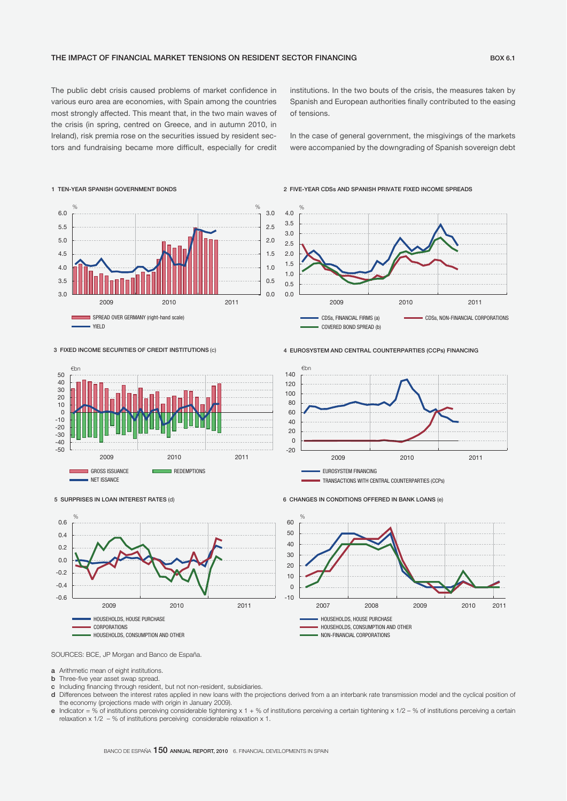The public debt crisis caused problems of market confidence in various euro area are economies, with Spain among the countries most strongly affected. This meant that, in the two main waves of the crisis (in spring, centred on Greece, and in autumn 2010, in Ireland), risk premia rose on the securities issued by resident sectors and fundraising became more difficult, especially for credit

institutions. In the two bouts of the crisis, the measures taken by Spanish and European authorities finally contributed to the easing of tensions.

In the case of general government, the misgivings of the markets were accompanied by the downgrading of Spanish sovereign debt





3 FIXED INCOME SECURITIES OF CREDIT INSTITUTIONS (c)

1 TEN-YEAR SPANISH GOVERNMENT BONDS

3.0 3.5 4.0 4.5 5.0 5.5 6.0



5 SURPRISES IN LOAN INTEREST RATES (d)



4 EUROSYSTEM AND CENTRAL COUNTERPARTIES (CCPs) FINANCING

COVERED BOND SPREAD (b)

2009 2010 2011

CDSs, FINANCIAL FIRMS (a) CDSs, NON-FINANCIAL CORPORATIONS

6 CHANGES IN CONDITIONS OFFERED IN BANK LOANS (e)



SOURCES: BCE, JP Morgan and Banco de España.

a Arithmetic mean of eight institutions.

-0.6 -0.4  $-0.2$ 0.0 0.2 0.4 0.6

- **b** Three-five year asset swap spread.
- c Including jnancing through resident, but not non-resident, subsidiaries.
- d Differences between the interest rates applied in new loans with the projections derived from a an interbank rate transmission model and the cyclical position of the economy (projections made with origin in January 2009).
- e Indicator = % of institutions perceiving considerable tightening x 1 + % of institutions perceiving a certain tightening x 1/2 % of institutions perceiving a certain relaxation  $x$  1/2 – % of institutions perceiving considerable relaxation  $x$  1.

TRANSACTIONS WITH CENTRAL COUNTERPARTIES (CCPs)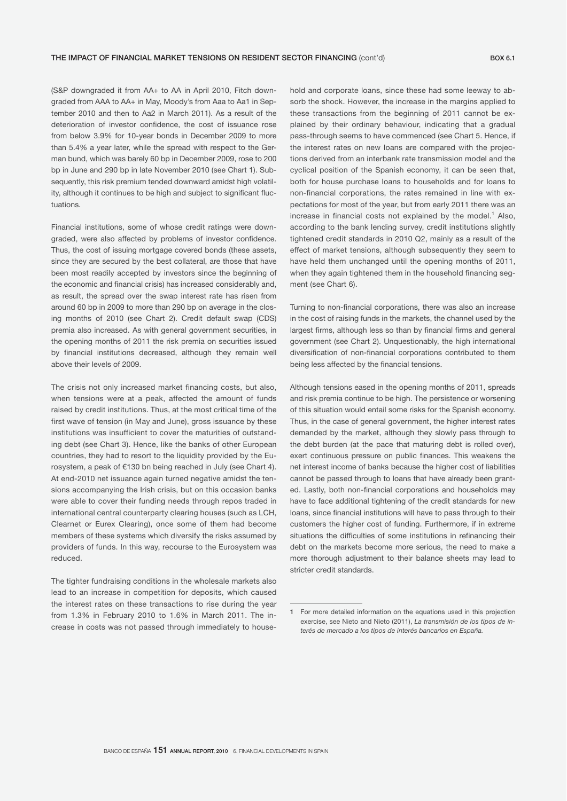(S&P downgraded it from AA+ to AA in April 2010, Fitch downgraded from AAA to AA+ in May, Moody's from Aaa to Aa1 in September 2010 and then to Aa2 in March 2011). As a result of the deterioration of investor confidence, the cost of issuance rose from below 3.9% for 10-year bonds in December 2009 to more than 5.4% a year later, while the spread with respect to the German bund, which was barely 60 bp in December 2009, rose to 200 bp in June and 290 bp in late November 2010 (see Chart 1). Subsequently, this risk premium tended downward amidst high volatility, although it continues to be high and subject to significant fluctuations.

Financial institutions, some of whose credit ratings were downgraded, were also affected by problems of investor confidence. Thus, the cost of issuing mortgage covered bonds (these assets, since they are secured by the best collateral, are those that have been most readily accepted by investors since the beginning of the economic and financial crisis) has increased considerably and, as result, the spread over the swap interest rate has risen from around 60 bp in 2009 to more than 290 bp on average in the closing months of 2010 (see Chart 2). Credit default swap (CDS) premia also increased. As with general government securities, in the opening months of 2011 the risk premia on securities issued by financial institutions decreased, although they remain well above their levels of 2009.

The crisis not only increased market financing costs, but also, when tensions were at a peak, affected the amount of funds raised by credit institutions. Thus, at the most critical time of the first wave of tension (in May and June), gross issuance by these institutions was insufficient to cover the maturities of outstanding debt (see Chart 3). Hence, like the banks of other European countries, they had to resort to the liquidity provided by the Eurosystem, a peak of €130 bn being reached in July (see Chart 4). At end-2010 net issuance again turned negative amidst the tensions accompanying the Irish crisis, but on this occasion banks were able to cover their funding needs through repos traded in international central counterparty clearing houses (such as LCH, Clearnet or Eurex Clearing), once some of them had become members of these systems which diversify the risks assumed by providers of funds. In this way, recourse to the Eurosystem was reduced.

The tighter fundraising conditions in the wholesale markets also lead to an increase in competition for deposits, which caused the interest rates on these transactions to rise during the year from 1.3% in February 2010 to 1.6% in March 2011. The increase in costs was not passed through immediately to household and corporate loans, since these had some leeway to absorb the shock. However, the increase in the margins applied to these transactions from the beginning of 2011 cannot be explained by their ordinary behaviour, indicating that a gradual pass-through seems to have commenced (see Chart 5. Hence, if the interest rates on new loans are compared with the projections derived from an interbank rate transmission model and the cyclical position of the Spanish economy, it can be seen that, both for house purchase loans to households and for loans to non-financial corporations, the rates remained in line with expectations for most of the year, but from early 2011 there was an increase in financial costs not explained by the model.<sup>1</sup> Also, according to the bank lending survey, credit institutions slightly tightened credit standards in 2010 Q2, mainly as a result of the effect of market tensions, although subsequently they seem to have held them unchanged until the opening months of 2011, when they again tightened them in the household financing segment (see Chart 6).

Turning to non-financial corporations, there was also an increase in the cost of raising funds in the markets, the channel used by the largest firms, although less so than by financial firms and general government (see Chart 2). Unquestionably, the high international diversification of non-financial corporations contributed to them being less affected by the financial tensions.

Although tensions eased in the opening months of 2011, spreads and risk premia continue to be high. The persistence or worsening of this situation would entail some risks for the Spanish economy. Thus, in the case of general government, the higher interest rates demanded by the market, although they slowly pass through to the debt burden (at the pace that maturing debt is rolled over), exert continuous pressure on public finances. This weakens the net interest income of banks because the higher cost of liabilities cannot be passed through to loans that have already been granted. Lastly, both non-financial corporations and households may have to face additional tightening of the credit standards for new loans, since financial institutions will have to pass through to their customers the higher cost of funding. Furthermore, if in extreme situations the difficulties of some institutions in refinancing their debt on the markets become more serious, the need to make a more thorough adjustment to their balance sheets may lead to stricter credit standards.

<sup>1</sup> For more detailed information on the equations used in this projection exercise, see Nieto and Nieto (2011), *La transmisión de los tipos de interés de mercado a los tipos de interés bancarios en España.*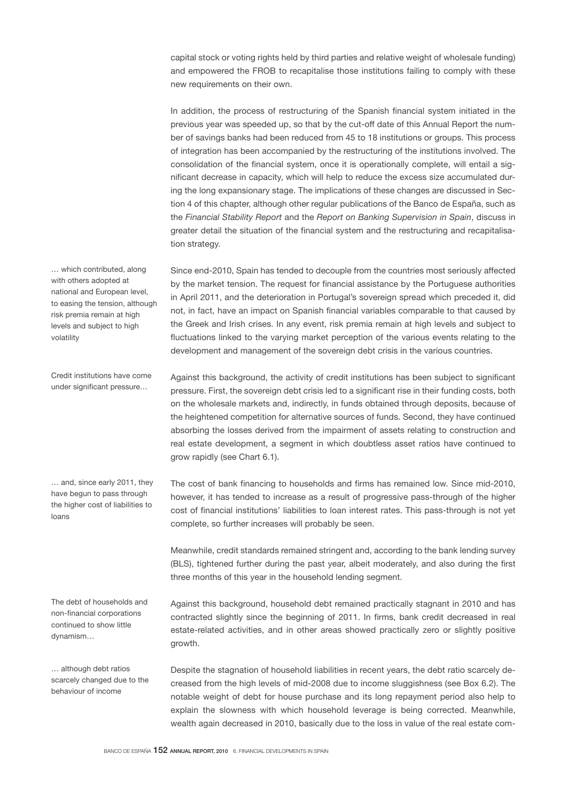capital stock or voting rights held by third parties and relative weight of wholesale funding) and empowered the FROB to recapitalise those institutions failing to comply with these new requirements on their own.

In addition, the process of restructuring of the Spanish financial system initiated in the previous year was speeded up, so that by the cut-off date of this Annual Report the number of savings banks had been reduced from 45 to 18 institutions or groups. This process of integration has been accompanied by the restructuring of the institutions involved. The consolidation of the financial system, once it is operationally complete, will entail a significant decrease in capacity, which will help to reduce the excess size accumulated during the long expansionary stage. The implications of these changes are discussed in Section 4 of this chapter, although other regular publications of the Banco de España, such as the *Financial Stability Report* and the *Report on Banking Supervision in Spain*, discuss in greater detail the situation of the financial system and the restructuring and recapitalisation strategy.

Since end-2010, Spain has tended to decouple from the countries most seriously affected by the market tension. The request for financial assistance by the Portuguese authorities in April 2011, and the deterioration in Portugal's sovereign spread which preceded it, did not, in fact, have an impact on Spanish financial variables comparable to that caused by the Greek and Irish crises. In any event, risk premia remain at high levels and subject to fluctuations linked to the varying market perception of the various events relating to the development and management of the sovereign debt crisis in the various countries.

Against this background, the activity of credit institutions has been subject to significant pressure. First, the sovereign debt crisis led to a significant rise in their funding costs, both on the wholesale markets and, indirectly, in funds obtained through deposits, because of the heightened competition for alternative sources of funds. Second, they have continued absorbing the losses derived from the impairment of assets relating to construction and real estate development, a segment in which doubtless asset ratios have continued to grow rapidly (see Chart 6.1).

The cost of bank financing to households and firms has remained low. Since mid-2010, however, it has tended to increase as a result of progressive pass-through of the higher cost of financial institutions' liabilities to loan interest rates. This pass-through is not yet complete, so further increases will probably be seen.

Meanwhile, credit standards remained stringent and, according to the bank lending survey (BLS), tightened further during the past year, albeit moderately, and also during the first three months of this year in the household lending segment.

Against this background, household debt remained practically stagnant in 2010 and has contracted slightly since the beginning of 2011. In firms, bank credit decreased in real estate-related activities, and in other areas showed practically zero or slightly positive growth.

Despite the stagnation of household liabilities in recent years, the debt ratio scarcely decreased from the high levels of mid-2008 due to income sluggishness (see Box 6.2). The notable weight of debt for house purchase and its long repayment period also help to explain the slowness with which household leverage is being corrected. Meanwhile, wealth again decreased in 2010, basically due to the loss in value of the real estate com-

… which contributed, along with others adopted at national and European level, to easing the tension, although risk premia remain at high levels and subject to high volatility

Credit institutions have come under significant pressure…

… and, since early 2011, they have begun to pass through the higher cost of liabilities to loans

The debt of households and non-financial corporations continued to show little dynamism…

… although debt ratios scarcely changed due to the behaviour of income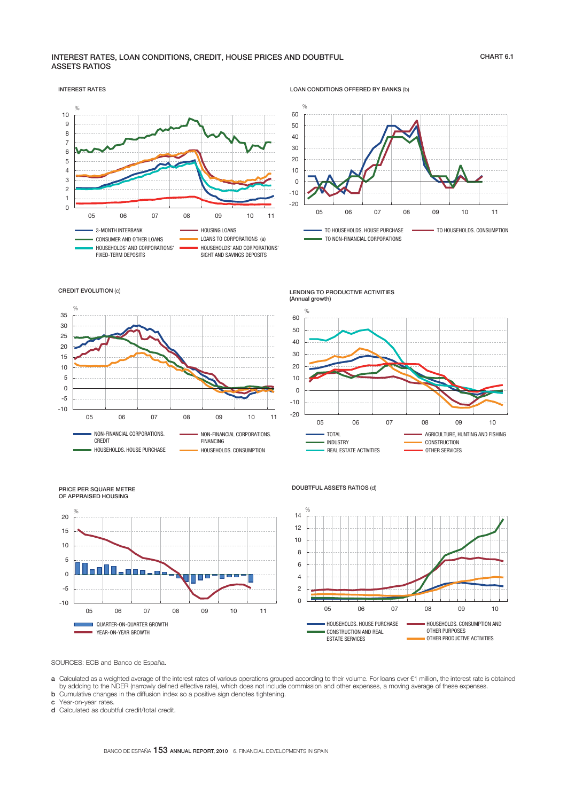#### INTEREST RATES, LOAN CONDITIONS, CREDIT, HOUSE PRICES AND DOUBTFUL ASSETS RATIOS

#### INTEREST RATES



LOAN CONDITIONS OFFERED BY BANKS (b)



CREDIT EVOLUTION (c)





PRICE PER SQUARE METRE OF APPRAISED HOUSING



DOUBTFUL ASSETS RATIOS (d)

LENDING TO PRODUCTIVE ACTIVITIES

(Annual growth)



SOURCES: ECB and Banco de España.

- a Calculated as a weighted average of the interest rates of various operations grouped according to their volume. For loans over €1 million, the interest rate is obtained by addding to the NDER (narrowly dejned effective rate), which does not include commission and other expenses, a moving average of these expenses.
- b Cumulative changes in the diffusion index so a positive sign denotes tightening.
- c Year-on-year rates.
- d Calculated as doubtful credit/total credit.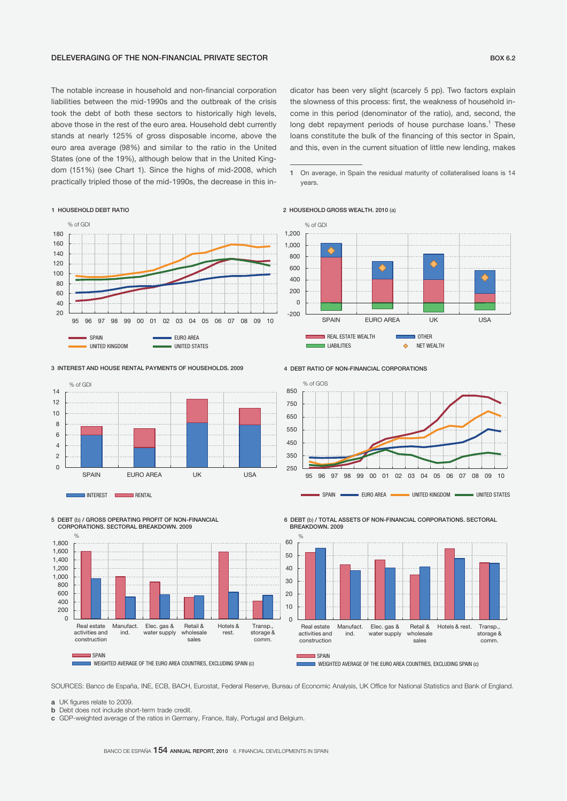#### DELEVERAGING OF THE NON-FINANCIAL PRIVATE SECTOR BOX 6.2

The notable increase in household and non-financial corporation liabilities between the mid-1990s and the outbreak of the crisis took the debt of both these sectors to historically high levels, above those in the rest of the euro area. Household debt currently stands at nearly 125% of gross disposable income, above the euro area average (98%) and similar to the ratio in the United States (one of the 19%), although below that in the United Kingdom (151%) (see Chart 1). Since the highs of mid-2008, which practically tripled those of the mid-1990s, the decrease in this indicator has been very slight (scarcely 5 pp). Two factors explain the slowness of this process: first, the weakness of household income in this period (denominator of the ratio), and, second, the long debt repayment periods of house purchase loans.<sup>1</sup> These loans constitute the bulk of the financing of this sector in Spain, and this, even in the current situation of little new lending, makes

#### 1 HOUSEHOLD DEBT RATIO



<sup>3</sup> INTEREST AND HOUSE RENTAL PAYMENTS OF HOUSEHOLDS. 2009







4 DEBT RATIO OF NON-FINANCIAL CORPORATIONS

REAL ESTATE WEALTH **DESCRIPTION** OTHER LIABILITIES NET WEALTH

% of GDI

2 HOUSEHOLD GROSS WEALTH. 2010 (a)



SPAIN EURO AREA UK USA

<sup>6</sup> DEBT (b) / TOTAL ASSETS OF NON-FINANCIAL CORPORATIONS. SECTORAL BREAKDOWN. 2009



SOURCES: Banco de España, INE, ECB, BACH, Eurostat, Federal Reserve, Bureau of Economic Analysis, UK Office for National Statistics and Bank of England.

a UK figures relate to 2009.

b Debt does not include short-term trade credit.

c GDP-weighted average of the ratios in Germany, France, Italy, Portugal and Belgium.

<sup>1</sup> On average, in Spain the residual maturity of collateralised loans is 14 years.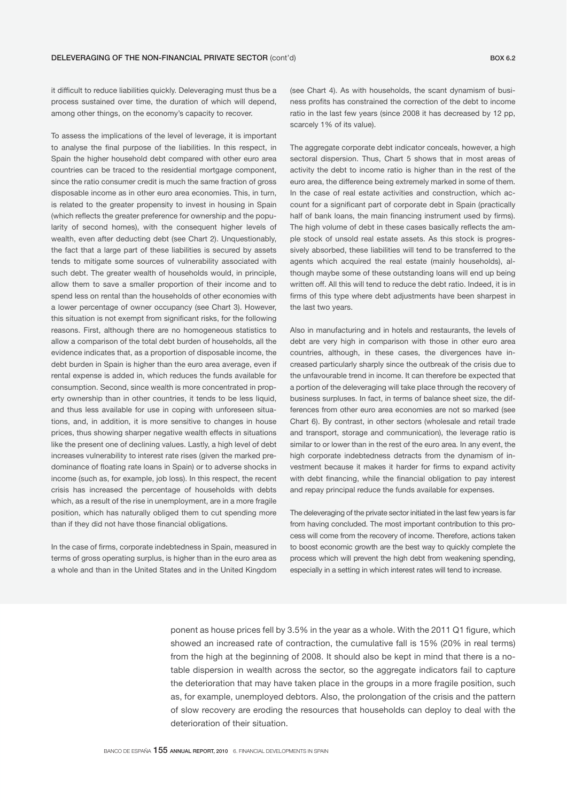it difficult to reduce liabilities quickly. Deleveraging must thus be a process sustained over time, the duration of which will depend, among other things, on the economy's capacity to recover.

To assess the implications of the level of leverage, it is important to analyse the final purpose of the liabilities. In this respect, in Spain the higher household debt compared with other euro area countries can be traced to the residential mortgage component, since the ratio consumer credit is much the same fraction of gross disposable income as in other euro area economies. This, in turn, is related to the greater propensity to invest in housing in Spain (which reflects the greater preference for ownership and the popularity of second homes), with the consequent higher levels of wealth, even after deducting debt (see Chart 2). Unquestionably, the fact that a large part of these liabilities is secured by assets tends to mitigate some sources of vulnerability associated with such debt. The greater wealth of households would, in principle, allow them to save a smaller proportion of their income and to spend less on rental than the households of other economies with a lower percentage of owner occupancy (see Chart 3). However, this situation is not exempt from significant risks, for the following reasons. First, although there are no homogeneous statistics to allow a comparison of the total debt burden of households, all the evidence indicates that, as a proportion of disposable income, the debt burden in Spain is higher than the euro area average, even if rental expense is added in, which reduces the funds available for consumption. Second, since wealth is more concentrated in property ownership than in other countries, it tends to be less liquid, and thus less available for use in coping with unforeseen situations, and, in addition, it is more sensitive to changes in house prices, thus showing sharper negative wealth effects in situations like the present one of declining values. Lastly, a high level of debt increases vulnerability to interest rate rises (given the marked predominance of floating rate loans in Spain) or to adverse shocks in income (such as, for example, job loss). In this respect, the recent crisis has increased the percentage of households with debts which, as a result of the rise in unemployment, are in a more fragile position, which has naturally obliged them to cut spending more than if they did not have those financial obligations.

In the case of firms, corporate indebtedness in Spain, measured in terms of gross operating surplus, is higher than in the euro area as a whole and than in the United States and in the United Kingdom (see Chart 4). As with households, the scant dynamism of business profits has constrained the correction of the debt to income ratio in the last few years (since 2008 it has decreased by 12 pp, scarcely 1% of its value).

The aggregate corporate debt indicator conceals, however, a high sectoral dispersion. Thus, Chart 5 shows that in most areas of activity the debt to income ratio is higher than in the rest of the euro area, the difference being extremely marked in some of them. In the case of real estate activities and construction, which account for a significant part of corporate debt in Spain (practically half of bank loans, the main financing instrument used by firms). The high volume of debt in these cases basically reflects the ample stock of unsold real estate assets. As this stock is progressively absorbed, these liabilities will tend to be transferred to the agents which acquired the real estate (mainly households), although maybe some of these outstanding loans will end up being written off. All this will tend to reduce the debt ratio. Indeed, it is in firms of this type where debt adjustments have been sharpest in the last two years.

Also in manufacturing and in hotels and restaurants, the levels of debt are very high in comparison with those in other euro area countries, although, in these cases, the divergences have increased particularly sharply since the outbreak of the crisis due to the unfavourable trend in income. It can therefore be expected that a portion of the deleveraging will take place through the recovery of business surpluses. In fact, in terms of balance sheet size, the differences from other euro area economies are not so marked (see Chart 6). By contrast, in other sectors (wholesale and retail trade and transport, storage and communication), the leverage ratio is similar to or lower than in the rest of the euro area. In any event, the high corporate indebtedness detracts from the dynamism of investment because it makes it harder for firms to expand activity with debt financing, while the financial obligation to pay interest and repay principal reduce the funds available for expenses.

The deleveraging of the private sector initiated in the last few years is far from having concluded. The most important contribution to this process will come from the recovery of income. Therefore, actions taken to boost economic growth are the best way to quickly complete the process which will prevent the high debt from weakening spending, especially in a setting in which interest rates will tend to increase.

ponent as house prices fell by 3.5% in the year as a whole. With the 2011 Q1 figure, which showed an increased rate of contraction, the cumulative fall is 15% (20% in real terms) from the high at the beginning of 2008. It should also be kept in mind that there is a notable dispersion in wealth across the sector, so the aggregate indicators fail to capture the deterioration that may have taken place in the groups in a more fragile position, such as, for example, unemployed debtors. Also, the prolongation of the crisis and the pattern of slow recovery are eroding the resources that households can deploy to deal with the deterioration of their situation.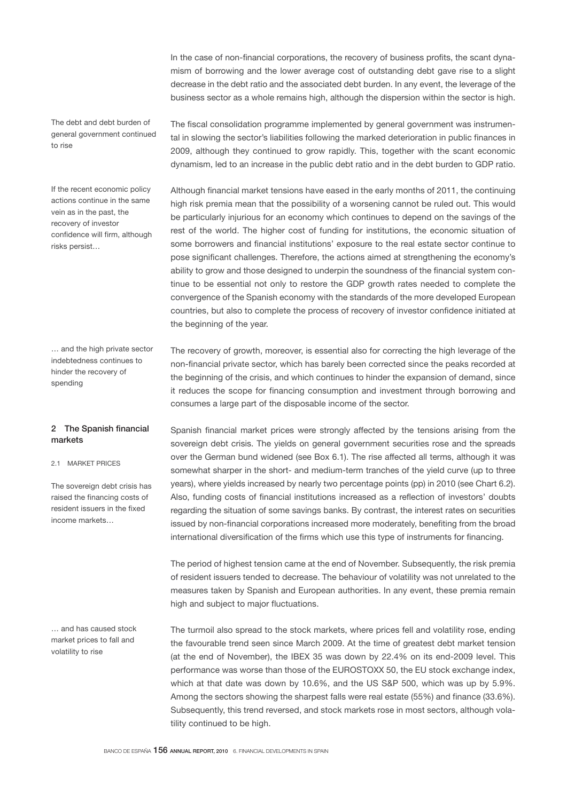In the case of non-financial corporations, the recovery of business profits, the scant dynamism of borrowing and the lower average cost of outstanding debt gave rise to a slight decrease in the debt ratio and the associated debt burden. In any event, the leverage of the business sector as a whole remains high, although the dispersion within the sector is high.

The debt and debt burden of general government continued to rise

If the recent economic policy actions continue in the same vein as in the past, the recovery of investor confidence will firm, although risks persist…

… and the high private sector indebtedness continues to hinder the recovery of spending

# 2 The Spanish financial markets

2.1 MARKET PRICES

The sovereign debt crisis has raised the financing costs of resident issuers in the fixed income markets…

… and has caused stock market prices to fall and volatility to rise

The fiscal consolidation programme implemented by general government was instrumental in slowing the sector's liabilities following the marked deterioration in public finances in 2009, although they continued to grow rapidly. This, together with the scant economic dynamism, led to an increase in the public debt ratio and in the debt burden to GDP ratio.

Although financial market tensions have eased in the early months of 2011, the continuing high risk premia mean that the possibility of a worsening cannot be ruled out. This would be particularly injurious for an economy which continues to depend on the savings of the rest of the world. The higher cost of funding for institutions, the economic situation of some borrowers and financial institutions' exposure to the real estate sector continue to pose significant challenges. Therefore, the actions aimed at strengthening the economy's ability to grow and those designed to underpin the soundness of the financial system continue to be essential not only to restore the GDP growth rates needed to complete the convergence of the Spanish economy with the standards of the more developed European countries, but also to complete the process of recovery of investor confidence initiated at the beginning of the year.

The recovery of growth, moreover, is essential also for correcting the high leverage of the non-financial private sector, which has barely been corrected since the peaks recorded at the beginning of the crisis, and which continues to hinder the expansion of demand, since it reduces the scope for financing consumption and investment through borrowing and consumes a large part of the disposable income of the sector.

Spanish financial market prices were strongly affected by the tensions arising from the sovereign debt crisis. The yields on general government securities rose and the spreads over the German bund widened (see Box 6.1). The rise affected all terms, although it was somewhat sharper in the short- and medium-term tranches of the yield curve (up to three years), where yields increased by nearly two percentage points (pp) in 2010 (see Chart 6.2). Also, funding costs of financial institutions increased as a reflection of investors' doubts regarding the situation of some savings banks. By contrast, the interest rates on securities issued by non-financial corporations increased more moderately, benefiting from the broad international diversification of the firms which use this type of instruments for financing.

The period of highest tension came at the end of November. Subsequently, the risk premia of resident issuers tended to decrease. The behaviour of volatility was not unrelated to the measures taken by Spanish and European authorities. In any event, these premia remain high and subject to major fluctuations.

The turmoil also spread to the stock markets, where prices fell and volatility rose, ending the favourable trend seen since March 2009. At the time of greatest debt market tension (at the end of November), the IBEX 35 was down by 22.4% on its end-2009 level. This performance was worse than those of the EUROSTOXX 50, the EU stock exchange index, which at that date was down by 10.6%, and the US S&P 500, which was up by 5.9%. Among the sectors showing the sharpest falls were real estate (55%) and finance (33.6%). Subsequently, this trend reversed, and stock markets rose in most sectors, although volatility continued to be high.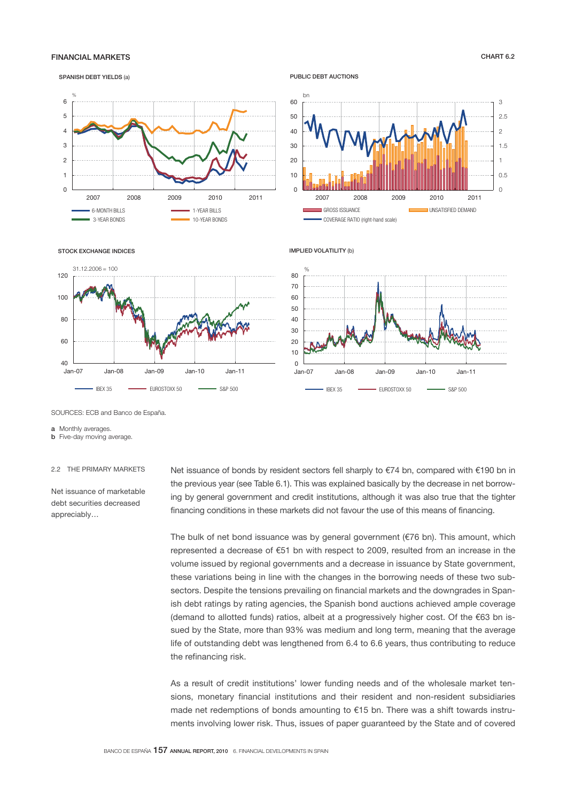# FINANCIAL MARKETS CHART 6.2

SPANISH DEBT YIELDS (a)

ł

%

#### PUBLIC DEBT AUCTIONS



STOCK EXCHANGE INDICES



 2007 2008 2009 2010 2011 6-MONTH BILLS **1-YEAR BILLS 3-YEAR BONDS** 10-YEAR BONDS

IMPLIED VOLATILITY (b)



SOURCES: ECB and Banco de España.

a Monthly averages.

**b** Five-day moving average.

#### 2.2 THE PRIMARY MARKETS

Net issuance of marketable debt securities decreased appreciably…

Net issuance of bonds by resident sectors fell sharply to €74 bn, compared with €190 bn in the previous year (see Table 6.1). This was explained basically by the decrease in net borrowing by general government and credit institutions, although it was also true that the tighter financing conditions in these markets did not favour the use of this means of financing.

The bulk of net bond issuance was by general government (€76 bn). This amount, which represented a decrease of €51 bn with respect to 2009, resulted from an increase in the volume issued by regional governments and a decrease in issuance by State government, these variations being in line with the changes in the borrowing needs of these two subsectors. Despite the tensions prevailing on financial markets and the downgrades in Spanish debt ratings by rating agencies, the Spanish bond auctions achieved ample coverage (demand to allotted funds) ratios, albeit at a progressively higher cost. Of the €63 bn issued by the State, more than 93% was medium and long term, meaning that the average life of outstanding debt was lengthened from 6.4 to 6.6 years, thus contributing to reduce the refinancing risk.

As a result of credit institutions' lower funding needs and of the wholesale market tensions, monetary financial institutions and their resident and non-resident subsidiaries made net redemptions of bonds amounting to €15 bn. There was a shift towards instruments involving lower risk. Thus, issues of paper guaranteed by the State and of covered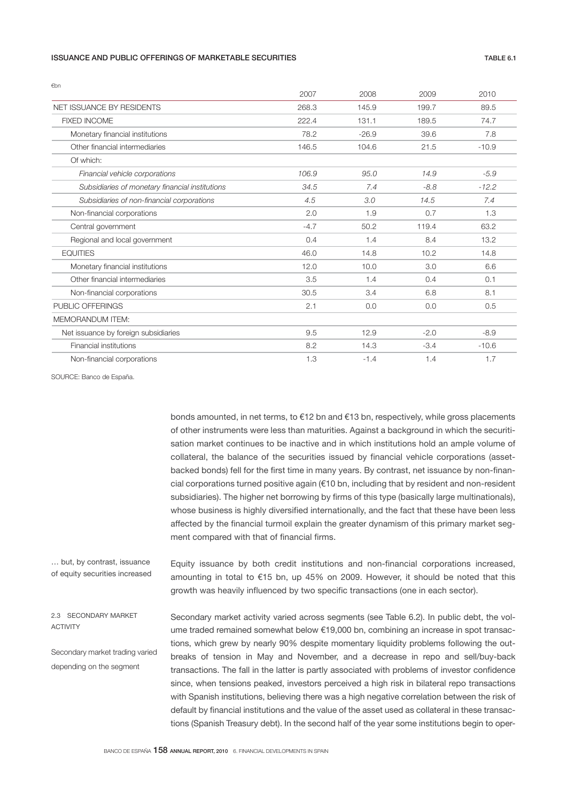# ISSUANCE AND PUBLIC OFFERINGS OF MARKETABLE SECURITIES TABLE 6.1

|                                                 | 2007   | 2008    | 2009   | 2010    |
|-------------------------------------------------|--------|---------|--------|---------|
| <b>NET ISSUANCE BY RESIDENTS</b>                | 268.3  | 145.9   | 199.7  | 89.5    |
| <b>FIXED INCOME</b>                             | 222.4  | 131.1   | 189.5  | 74.7    |
| Monetary financial institutions                 | 78.2   | $-26.9$ | 39.6   | 7.8     |
| Other financial intermediaries                  | 146.5  | 104.6   | 21.5   | $-10.9$ |
| Of which:                                       |        |         |        |         |
| Financial vehicle corporations                  | 106.9  | 95.0    | 14.9   | $-5.9$  |
| Subsidiaries of monetary financial institutions | 34.5   | 7.4     | $-8.8$ | $-12.2$ |
| Subsidiaries of non-financial corporations      | 4.5    | 3.0     | 14.5   | 7.4     |
| Non-financial corporations                      | 2.0    | 1.9     | 0.7    | 1.3     |
| Central government                              | $-4.7$ | 50.2    | 119.4  | 63.2    |
| Regional and local government                   | 0.4    | 1.4     | 8.4    | 13.2    |
| <b>EQUITIES</b>                                 | 46.0   | 14.8    | 10.2   | 14.8    |
| Monetary financial institutions                 | 12.0   | 10.0    | 3.0    | 6.6     |
| Other financial intermediaries                  | 3.5    | 1.4     | 0.4    | 0.1     |
| Non-financial corporations                      | 30.5   | 3.4     | 6.8    | 8.1     |
| PUBLIC OFFERINGS                                | 2.1    | 0.0     | 0.0    | 0.5     |
| MEMORANDUM ITEM:                                |        |         |        |         |
| Net issuance by foreign subsidiaries            | 9.5    | 12.9    | $-2.0$ | $-8.9$  |
| Financial institutions                          | 8.2    | 14.3    | $-3.4$ | $-10.6$ |
| Non-financial corporations                      | 1.3    | $-1.4$  | 1.4    | 1.7     |

SOURCE: Banco de España.

€bn

bonds amounted, in net terms, to €12 bn and €13 bn, respectively, while gross placements of other instruments were less than maturities. Against a background in which the securitisation market continues to be inactive and in which institutions hold an ample volume of collateral, the balance of the securities issued by financial vehicle corporations (assetbacked bonds) fell for the first time in many years. By contrast, net issuance by non-financial corporations turned positive again (€10 bn, including that by resident and non-resident subsidiaries). The higher net borrowing by firms of this type (basically large multinationals), whose business is highly diversified internationally, and the fact that these have been less affected by the financial turmoil explain the greater dynamism of this primary market segment compared with that of financial firms.

… but, by contrast, issuance of equity securities increased

Equity issuance by both credit institutions and non-financial corporations increased, amounting in total to €15 bn, up 45% on 2009. However, it should be noted that this growth was heavily influenced by two specific transactions (one in each sector).

2.3 SECONDARY MARKET ACTIVITY

Secondary market trading varied depending on the segment

Secondary market activity varied across segments (see Table 6.2). In public debt, the volume traded remained somewhat below €19,000 bn, combining an increase in spot transactions, which grew by nearly 90% despite momentary liquidity problems following the outbreaks of tension in May and November, and a decrease in repo and sell/buy-back transactions. The fall in the latter is partly associated with problems of investor confidence since, when tensions peaked, investors perceived a high risk in bilateral repo transactions with Spanish institutions, believing there was a high negative correlation between the risk of default by financial institutions and the value of the asset used as collateral in these transactions (Spanish Treasury debt). In the second half of the year some institutions begin to oper-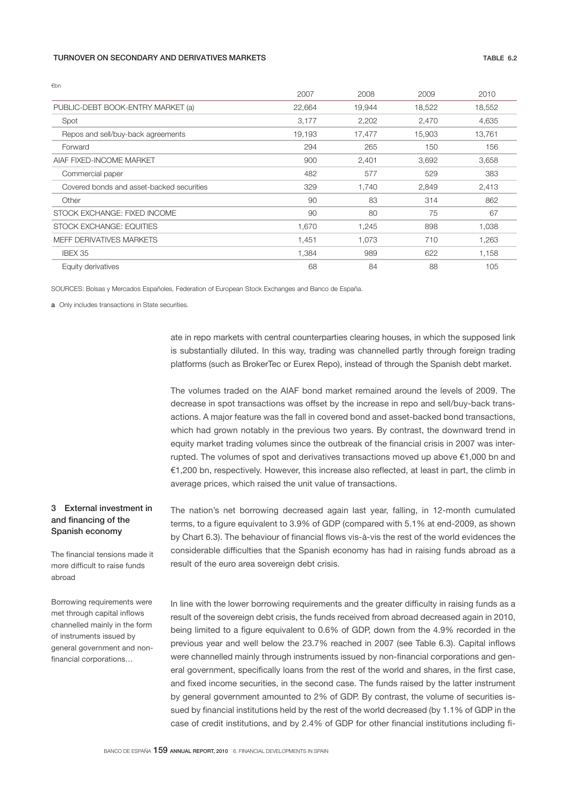# TURNOVER ON SECONDARY AND DERIVATIVES MARKETS TABLE 1 AND TABLE 6.2

|                                           | 2007   | 2008   | 2009   | 2010   |
|-------------------------------------------|--------|--------|--------|--------|
| PUBLIC-DEBT BOOK-ENTRY MARKET (a)         | 22,664 | 19,944 | 18,522 | 18,552 |
| Spot                                      | 3,177  | 2,202  | 2,470  | 4,635  |
| Repos and sell/buy-back agreements        | 19,193 | 17,477 | 15,903 | 13,761 |
| Forward                                   | 294    | 265    | 150    | 156    |
| AIAF FIXED-INCOME MARKET                  | 900    | 2,401  | 3,692  | 3,658  |
| Commercial paper                          | 482    | 577    | 529    | 383    |
| Covered bonds and asset-backed securities | 329    | 1,740  | 2,849  | 2,413  |
| Other                                     | 90     | 83     | 314    | 862    |
| STOCK EXCHANGE: FIXED INCOME              | 90     | 80     | 75     | 67     |
| STOCK EXCHANGE: EQUITIES                  | 1,670  | 1,245  | 898    | 1,038  |
| MEFF DERIVATIVES MARKETS                  | 1,451  | 1,073  | 710    | 1,263  |
| IBEX 35                                   | 1,384  | 989    | 622    | 1,158  |
| Equity derivatives                        | 68     | 84     | 88     | 105    |

SOURCES: Bolsas y Mercados Españoles, Federation of European Stock Exchanges and Banco de España.

a Only includes transactions in State securities.

€bn

ate in repo markets with central counterparties clearing houses, in which the supposed link is substantially diluted. In this way, trading was channelled partly through foreign trading platforms (such as BrokerTec or Eurex Repo), instead of through the Spanish debt market.

The volumes traded on the AIAF bond market remained around the levels of 2009. The decrease in spot transactions was offset by the increase in repo and sell/buy-back transactions. A major feature was the fall in covered bond and asset-backed bond transactions, which had grown notably in the previous two years. By contrast, the downward trend in equity market trading volumes since the outbreak of the financial crisis in 2007 was interrupted. The volumes of spot and derivatives transactions moved up above €1,000 bn and €1,200 bn, respectively. However, this increase also reflected, at least in part, the climb in average prices, which raised the unit value of transactions.

# 3 External investment in and financing of the Spanish economy

The financial tensions made it more difficult to raise funds abroad

Borrowing requirements were met through capital inflows channelled mainly in the form of instruments issued by general government and nonfinancial corporations…

The nation's net borrowing decreased again last year, falling, in 12-month cumulated terms, to a figure equivalent to 3.9% of GDP (compared with 5.1% at end-2009, as shown by Chart 6.3). The behaviour of financial flows vis-à-vis the rest of the world evidences the considerable difficulties that the Spanish economy has had in raising funds abroad as a result of the euro area sovereign debt crisis.

In line with the lower borrowing requirements and the greater difficulty in raising funds as a result of the sovereign debt crisis, the funds received from abroad decreased again in 2010, being limited to a figure equivalent to 0.6% of GDP, down from the 4.9% recorded in the previous year and well below the 23.7% reached in 2007 (see Table 6.3). Capital inflows were channelled mainly through instruments issued by non-financial corporations and general government, specifically loans from the rest of the world and shares, in the first case, and fixed income securities, in the second case. The funds raised by the latter instrument by general government amounted to 2% of GDP. By contrast, the volume of securities issued by financial institutions held by the rest of the world decreased (by 1.1% of GDP in the case of credit institutions, and by 2.4% of GDP for other financial institutions including fi-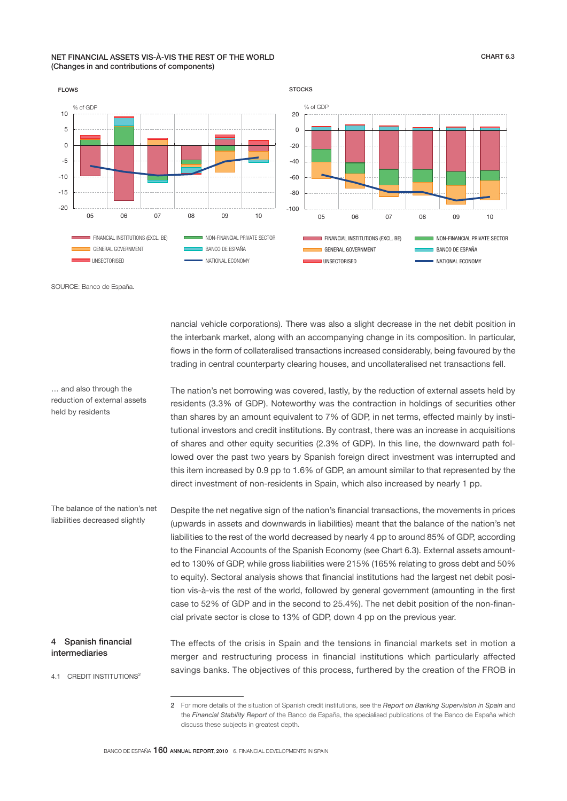#### NET FINANCIAL ASSETS VIS-À-VIS THE REST OF THE WORLD (Changes in and contributions of components)



SOURCE: Banco de España.

… and also through the reduction of external assets

held by residents

nancial vehicle corporations). There was also a slight decrease in the net debit position in the interbank market, along with an accompanying change in its composition. In particular, flows in the form of collateralised transactions increased considerably, being favoured by the trading in central counterparty clearing houses, and uncollateralised net transactions fell.

The nation's net borrowing was covered, lastly, by the reduction of external assets held by residents (3.3% of GDP). Noteworthy was the contraction in holdings of securities other than shares by an amount equivalent to 7% of GDP, in net terms, effected mainly by institutional investors and credit institutions. By contrast, there was an increase in acquisitions of shares and other equity securities (2.3% of GDP). In this line, the downward path followed over the past two years by Spanish foreign direct investment was interrupted and this item increased by 0.9 pp to 1.6% of GDP, an amount similar to that represented by the direct investment of non-residents in Spain, which also increased by nearly 1 pp.

Despite the net negative sign of the nation's financial transactions, the movements in prices (upwards in assets and downwards in liabilities) meant that the balance of the nation's net liabilities to the rest of the world decreased by nearly 4 pp to around 85% of GDP, according to the Financial Accounts of the Spanish Economy (see Chart 6.3). External assets amounted to 130% of GDP, while gross liabilities were 215% (165% relating to gross debt and 50% to equity). Sectoral analysis shows that financial institutions had the largest net debit position vis-à-vis the rest of the world, followed by general government (amounting in the first case to 52% of GDP and in the second to 25.4%). The net debit position of the non-financial private sector is close to 13% of GDP, down 4 pp on the previous year. The balance of the nation's net liabilities decreased slightly

# 4 Spanish financial intermediaries

4.1 CREDIT INSTITUTIONS<sup>2</sup>

The effects of the crisis in Spain and the tensions in financial markets set in motion a merger and restructuring process in financial institutions which particularly affected savings banks. The objectives of this process, furthered by the creation of the FROB in

<sup>2</sup> For more details of the situation of Spanish credit institutions, see the *Report on Banking Supervision in Spain* and the *Financial Stability Report* of the Banco de España, the specialised publications of the Banco de España which discuss these subjects in greatest depth.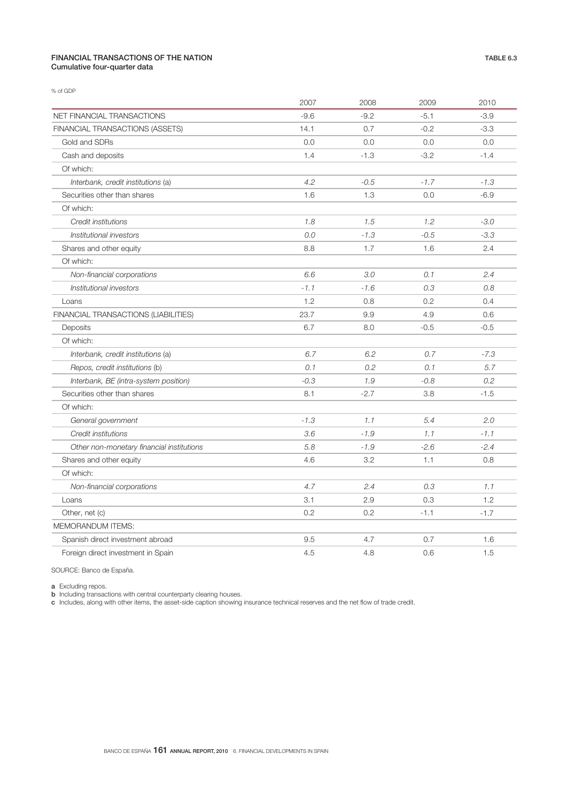# FINANCIAL TRANSACTIONS OF THE NATION Cumulative four-quarter data

% of GDP

|                                           | 2007   | 2008   | 2009   | 2010   |
|-------------------------------------------|--------|--------|--------|--------|
| NET FINANCIAL TRANSACTIONS                | $-9.6$ | $-9.2$ | $-5.1$ | $-3.9$ |
| FINANCIAL TRANSACTIONS (ASSETS)           | 14.1   | 0.7    | $-0.2$ | $-3.3$ |
| Gold and SDRs                             | 0.0    | 0.0    | 0.0    | 0.0    |
| Cash and deposits                         | 1.4    | $-1.3$ | $-3.2$ | $-1.4$ |
| Of which:                                 |        |        |        |        |
| Interbank, credit institutions (a)        | 4.2    | $-0.5$ | $-1.7$ | $-1.3$ |
| Securities other than shares              | 1.6    | 1.3    | 0.0    | $-6.9$ |
| Of which:                                 |        |        |        |        |
| Credit institutions                       | 1.8    | 1.5    | 1.2    | $-3.0$ |
| Institutional investors                   | 0.0    | $-1.3$ | $-0.5$ | $-3.3$ |
| Shares and other equity                   | 8.8    | 1.7    | 1.6    | 2.4    |
| Of which:                                 |        |        |        |        |
| Non-financial corporations                | 6.6    | 3.0    | 0.1    | 2.4    |
| Institutional investors                   | $-1.1$ | $-1.6$ | 0.3    | 0.8    |
| Loans                                     | 1.2    | 0.8    | 0.2    | 0.4    |
| FINANCIAL TRANSACTIONS (LIABILITIES)      | 23.7   | 9.9    | 4.9    | 0.6    |
| Deposits                                  | 6.7    | 8.0    | $-0.5$ | $-0.5$ |
| Of which:                                 |        |        |        |        |
| Interbank, credit institutions (a)        | 6.7    | 6.2    | 0.7    | $-7.3$ |
| Repos, credit institutions (b)            | 0.1    | 0.2    | 0.1    | 5.7    |
| Interbank, BE (intra-system position)     | $-0.3$ | 1.9    | $-0.8$ | 0.2    |
| Securities other than shares              | 8.1    | $-2.7$ | 3.8    | $-1.5$ |
| Of which:                                 |        |        |        |        |
| General government                        | $-1.3$ | 1.1    | 5.4    | 2.0    |
| Credit institutions                       | 3.6    | $-1.9$ | 1.1    | $-1.1$ |
| Other non-monetary financial institutions | 5.8    | $-1.9$ | $-2.6$ | $-2.4$ |
| Shares and other equity                   | 4.6    | 3.2    | 1.1    | 0.8    |
| Of which:                                 |        |        |        |        |
| Non-financial corporations                | 4.7    | 2.4    | 0.3    | 1.1    |
| Loans                                     | 3.1    | 2.9    | 0.3    | 1.2    |
| Other, net (c)                            | 0.2    | 0.2    | $-1.1$ | $-1.7$ |
| <b>MEMORANDUM ITEMS:</b>                  |        |        |        |        |
| Spanish direct investment abroad          | 9.5    | 4.7    | 0.7    | 1.6    |
| Foreign direct investment in Spain        | 4.5    | 4.8    | 0.6    | 1.5    |

SOURCE: Banco de España.

**a** Excluding repos.

**b** Including transactions with central counterparty clearing houses.

c Includes, along with other items, the asset-side caption showing insurance technical reserves and the net flow of trade credit.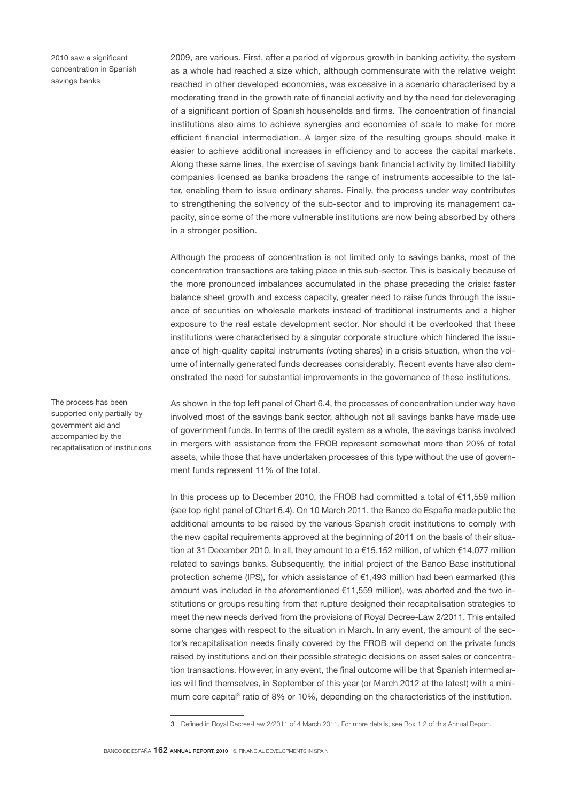2010 saw a significant concentration in Spanish savings banks

2009, are various. First, after a period of vigorous growth in banking activity, the system as a whole had reached a size which, although commensurate with the relative weight reached in other developed economies, was excessive in a scenario characterised by a moderating trend in the growth rate of financial activity and by the need for deleveraging of a significant portion of Spanish households and firms. The concentration of financial institutions also aims to achieve synergies and economies of scale to make for more efficient financial intermediation. A larger size of the resulting groups should make it easier to achieve additional increases in efficiency and to access the capital markets. Along these same lines, the exercise of savings bank financial activity by limited liability companies licensed as banks broadens the range of instruments accessible to the latter, enabling them to issue ordinary shares. Finally, the process under way contributes to strengthening the solvency of the sub-sector and to improving its management capacity, since some of the more vulnerable institutions are now being absorbed by others in a stronger position.

Although the process of concentration is not limited only to savings banks, most of the concentration transactions are taking place in this sub-sector. This is basically because of the more pronounced imbalances accumulated in the phase preceding the crisis: faster balance sheet growth and excess capacity, greater need to raise funds through the issuance of securities on wholesale markets instead of traditional instruments and a higher exposure to the real estate development sector. Nor should it be overlooked that these institutions were characterised by a singular corporate structure which hindered the issuance of high-quality capital instruments (voting shares) in a crisis situation, when the volume of internally generated funds decreases considerably. Recent events have also demonstrated the need for substantial improvements in the governance of these institutions.

The process has been supported only partially by government aid and accompanied by the recapitalisation of institutions As shown in the top left panel of Chart 6.4, the processes of concentration under way have involved most of the savings bank sector, although not all savings banks have made use of government funds. In terms of the credit system as a whole, the savings banks involved in mergers with assistance from the FROB represent somewhat more than 20% of total assets, while those that have undertaken processes of this type without the use of government funds represent 11% of the total.

In this process up to December 2010, the FROB had committed a total of €11,559 million (see top right panel of Chart 6.4). On 10 March 2011, the Banco de España made public the additional amounts to be raised by the various Spanish credit institutions to comply with the new capital requirements approved at the beginning of 2011 on the basis of their situation at 31 December 2010. In all, they amount to a €15,152 million, of which €14,077 million related to savings banks. Subsequently, the initial project of the Banco Base institutional protection scheme (IPS), for which assistance of €1,493 million had been earmarked (this amount was included in the aforementioned €11,559 million), was aborted and the two institutions or groups resulting from that rupture designed their recapitalisation strategies to meet the new needs derived from the provisions of Royal Decree-Law 2/2011. This entailed some changes with respect to the situation in March. In any event, the amount of the sector's recapitalisation needs finally covered by the FROB will depend on the private funds raised by institutions and on their possible strategic decisions on asset sales or concentration transactions. However, in any event, the final outcome will be that Spanish intermediaries will find themselves, in September of this year (or March 2012 at the latest) with a minimum core capital<sup>3</sup> ratio of 8% or 10%, depending on the characteristics of the institution.

<sup>3</sup> Defined in Royal Decree-Law 2/2011 of 4 March 2011. For more details, see Box 1.2 of this Annual Report.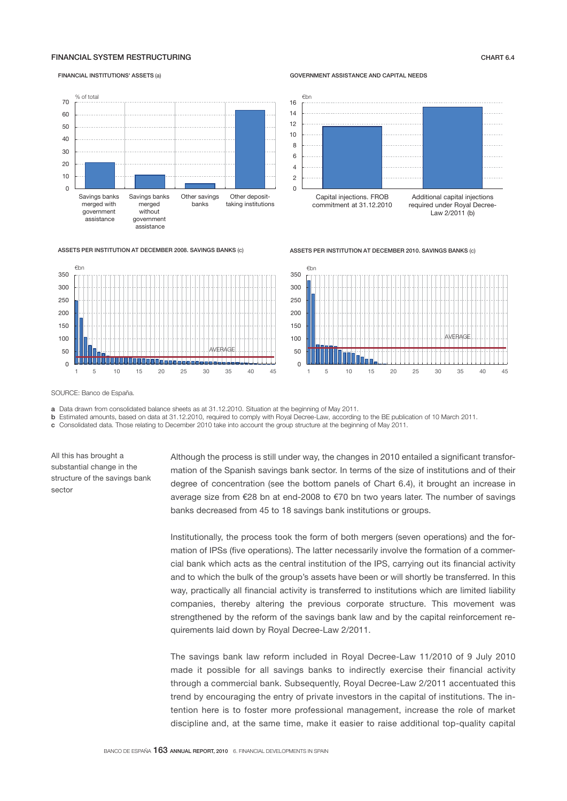# FINANCIAL SYSTEM RESTRUCTURING CHART 6.4

#### FINANCIAL INSTITUTIONS' ASSETS (a)



#### ASSETS PER INSTITUTION AT DECEMBER 2008. SAVINGS BANKS (c)

GOVERNMENT ASSISTANCE AND CAPITAL NEEDS



ASSETS PER INSTITUTION AT DECEMBER 2010. SAVINGS BANKS (c)



SOURCE: Banco de España.

a Data drawn from consolidated balance sheets as at 31.12.2010. Situation at the beginning of May 2011.

b Estimated amounts, based on data at 31.12.2010, required to comply with Royal Decree-Law, according to the BE publication of 10 March 2011.

c Consolidated data. Those relating to December 2010 take into account the group structure at the beginning of May 2011.

All this has brought a substantial change in the structure of the savings bank sector

Although the process is still under way, the changes in 2010 entailed a significant transformation of the Spanish savings bank sector. In terms of the size of institutions and of their degree of concentration (see the bottom panels of Chart 6.4), it brought an increase in average size from €28 bn at end-2008 to €70 bn two years later. The number of savings banks decreased from 45 to 18 savings bank institutions or groups.

Institutionally, the process took the form of both mergers (seven operations) and the formation of IPSs (five operations). The latter necessarily involve the formation of a commercial bank which acts as the central institution of the IPS, carrying out its financial activity and to which the bulk of the group's assets have been or will shortly be transferred. In this way, practically all financial activity is transferred to institutions which are limited liability companies, thereby altering the previous corporate structure. This movement was strengthened by the reform of the savings bank law and by the capital reinforcement requirements laid down by Royal Decree-Law 2/2011.

The savings bank law reform included in Royal Decree-Law 11/2010 of 9 July 2010 made it possible for all savings banks to indirectly exercise their financial activity through a commercial bank. Subsequently, Royal Decree-Law 2/2011 accentuated this trend by encouraging the entry of private investors in the capital of institutions. The intention here is to foster more professional management, increase the role of market discipline and, at the same time, make it easier to raise additional top-quality capital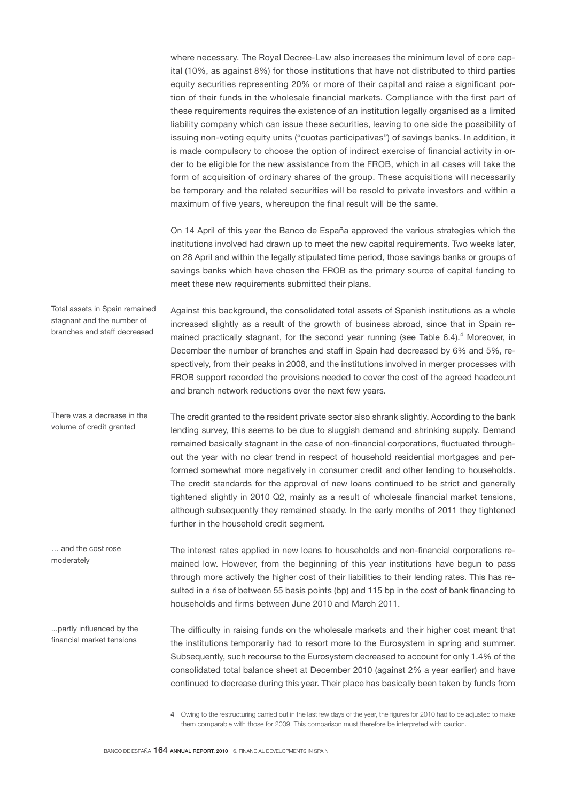where necessary. The Royal Decree-Law also increases the minimum level of core capital (10%, as against 8%) for those institutions that have not distributed to third parties equity securities representing 20% or more of their capital and raise a significant portion of their funds in the wholesale financial markets. Compliance with the first part of these requirements requires the existence of an institution legally organised as a limited liability company which can issue these securities, leaving to one side the possibility of issuing non-voting equity units ("cuotas participativas") of savings banks. In addition, it is made compulsory to choose the option of indirect exercise of financial activity in order to be eligible for the new assistance from the FROB, which in all cases will take the form of acquisition of ordinary shares of the group. These acquisitions will necessarily be temporary and the related securities will be resold to private investors and within a maximum of five years, whereupon the final result will be the same.

On 14 April of this year the Banco de España approved the various strategies which the institutions involved had drawn up to meet the new capital requirements. Two weeks later, on 28 April and within the legally stipulated time period, those savings banks or groups of savings banks which have chosen the FROB as the primary source of capital funding to meet these new requirements submitted their plans.

Against this background, the consolidated total assets of Spanish institutions as a whole increased slightly as a result of the growth of business abroad, since that in Spain remained practically stagnant, for the second year running (see Table 6.4).<sup>4</sup> Moreover, in December the number of branches and staff in Spain had decreased by 6% and 5%, respectively, from their peaks in 2008, and the institutions involved in merger processes with FROB support recorded the provisions needed to cover the cost of the agreed headcount and branch network reductions over the next few years. Total assets in Spain remained stagnant and the number of branches and staff decreased

The credit granted to the resident private sector also shrank slightly. According to the bank lending survey, this seems to be due to sluggish demand and shrinking supply. Demand remained basically stagnant in the case of non-financial corporations, fluctuated throughout the year with no clear trend in respect of household residential mortgages and performed somewhat more negatively in consumer credit and other lending to households. The credit standards for the approval of new loans continued to be strict and generally tightened slightly in 2010 Q2, mainly as a result of wholesale financial market tensions, although subsequently they remained steady. In the early months of 2011 they tightened further in the household credit segment. There was a decrease in the volume of credit granted

The interest rates applied in new loans to households and non-financial corporations remained low. However, from the beginning of this year institutions have begun to pass through more actively the higher cost of their liabilities to their lending rates. This has resulted in a rise of between 55 basis points (bp) and 115 bp in the cost of bank financing to households and firms between June 2010 and March 2011. … and the cost rose moderately

The difficulty in raising funds on the wholesale markets and their higher cost meant that the institutions temporarily had to resort more to the Eurosystem in spring and summer. Subsequently, such recourse to the Eurosystem decreased to account for only 1.4% of the consolidated total balance sheet at December 2010 (against 2% a year earlier) and have continued to decrease during this year. Their place has basically been taken by funds from ...partly influenced by the financial market tensions

<sup>4</sup> Owing to the restructuring carried out in the last few days of the year, the figures for 2010 had to be adjusted to make them comparable with those for 2009. This comparison must therefore be interpreted with caution.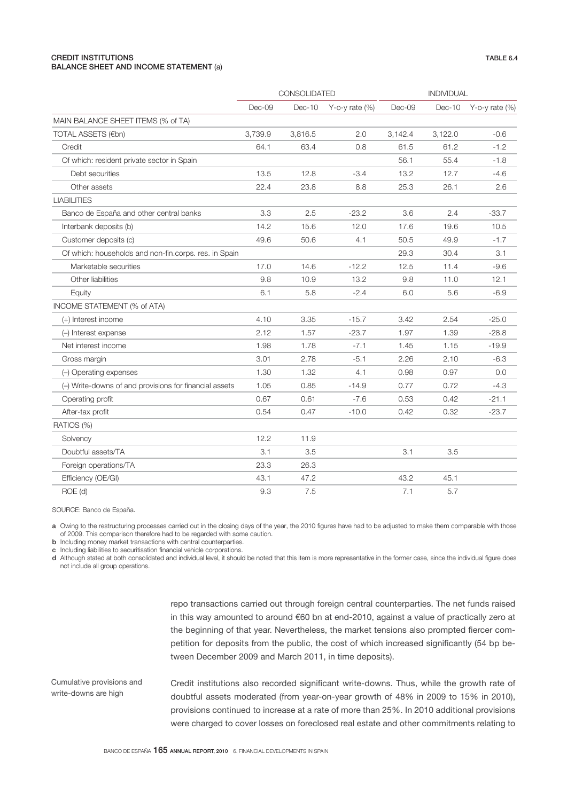## CREDIT INSTITUTIONS BALANCE SHEET AND INCOME STATEMENT (a)

|                                                        | CONSOLIDATED |         | <b>INDIVIDUAL</b>    |         |         |                |
|--------------------------------------------------------|--------------|---------|----------------------|---------|---------|----------------|
|                                                        | Dec-09       | Dec-10  | $Y$ -o-y rate $(\%)$ | Dec-09  | Dec-10  | Y-o-y rate (%) |
| MAIN BALANCE SHEET ITEMS (% of TA)                     |              |         |                      |         |         |                |
| TOTAL ASSETS (€bn)                                     | 3,739.9      | 3,816.5 | 2.0                  | 3,142.4 | 3,122.0 | $-0.6$         |
| Credit                                                 | 64.1         | 63.4    | 0.8                  | 61.5    | 61.2    | $-1.2$         |
| Of which: resident private sector in Spain             |              |         |                      | 56.1    | 55.4    | $-1.8$         |
| Debt securities                                        | 13.5         | 12.8    | $-3.4$               | 13.2    | 12.7    | $-4.6$         |
| Other assets                                           | 22.4         | 23.8    | 8.8                  | 25.3    | 26.1    | 2.6            |
| <b>LIABILITIES</b>                                     |              |         |                      |         |         |                |
| Banco de España and other central banks                | 3.3          | 2.5     | $-23.2$              | 3.6     | 2.4     | $-33.7$        |
| Interbank deposits (b)                                 | 14.2         | 15.6    | 12.0                 | 17.6    | 19.6    | 10.5           |
| Customer deposits (c)                                  | 49.6         | 50.6    | 4.1                  | 50.5    | 49.9    | $-1.7$         |
| Of which: households and non-fin.corps. res. in Spain  |              |         |                      | 29.3    | 30.4    | 3.1            |
| Marketable securities                                  | 17.0         | 14.6    | $-12.2$              | 12.5    | 11.4    | $-9.6$         |
| Other liabilities                                      | 9.8          | 10.9    | 13.2                 | 9.8     | 11.0    | 12.1           |
| Equity                                                 | 6.1          | 5.8     | $-2.4$               | 6.0     | 5.6     | $-6.9$         |
| INCOME STATEMENT (% of ATA)                            |              |         |                      |         |         |                |
| (+) Interest income                                    | 4.10         | 3.35    | $-15.7$              | 3.42    | 2.54    | $-25.0$        |
| (-) Interest expense                                   | 2.12         | 1.57    | $-23.7$              | 1.97    | 1.39    | $-28.8$        |
| Net interest income                                    | 1.98         | 1.78    | $-7.1$               | 1.45    | 1.15    | $-19.9$        |
| Gross margin                                           | 3.01         | 2.78    | $-5.1$               | 2.26    | 2.10    | $-6.3$         |
| (-) Operating expenses                                 | 1.30         | 1.32    | 4.1                  | 0.98    | 0.97    | 0.0            |
| (-) Write-downs of and provisions for financial assets | 1.05         | 0.85    | $-14.9$              | 0.77    | 0.72    | $-4.3$         |
| Operating profit                                       | 0.67         | 0.61    | $-7.6$               | 0.53    | 0.42    | $-21.1$        |
| After-tax profit                                       | 0.54         | 0.47    | $-10.0$              | 0.42    | 0.32    | $-23.7$        |
| RATIOS (%)                                             |              |         |                      |         |         |                |
| Solvency                                               | 12.2         | 11.9    |                      |         |         |                |
| Doubtful assets/TA                                     | 3.1          | 3.5     |                      | 3.1     | 3.5     |                |
| Foreign operations/TA                                  | 23.3         | 26.3    |                      |         |         |                |
| Efficiency (OE/GI)                                     | 43.1         | 47.2    |                      | 43.2    | 45.1    |                |
| ROE (d)                                                | 9.3          | 7.5     |                      | 7.1     | 5.7     |                |

SOURCE: Banco de España.

a Owing to the restructuring processes carried out in the closing days of the year, the 2010 figures have had to be adjusted to make them comparable with those of 2009. This comparison therefore had to be regarded with some caution.

**b** Including money market transactions with central counterparties.

c Including liabilities to securitisation financial vehicle corporations.

d Although stated at both consolidated and individual level, it should be noted that this item is more representative in the former case, since the individual figure does not include all group operations.

> repo transactions carried out through foreign central counterparties. The net funds raised in this way amounted to around €60 bn at end-2010, against a value of practically zero at the beginning of that year. Nevertheless, the market tensions also prompted fiercer competition for deposits from the public, the cost of which increased significantly (54 bp between December 2009 and March 2011, in time deposits).

Credit institutions also recorded significant write-downs. Thus, while the growth rate of doubtful assets moderated (from year-on-year growth of 48% in 2009 to 15% in 2010), provisions continued to increase at a rate of more than 25%. In 2010 additional provisions were charged to cover losses on foreclosed real estate and other commitments relating to Cumulative provisions and write-downs are high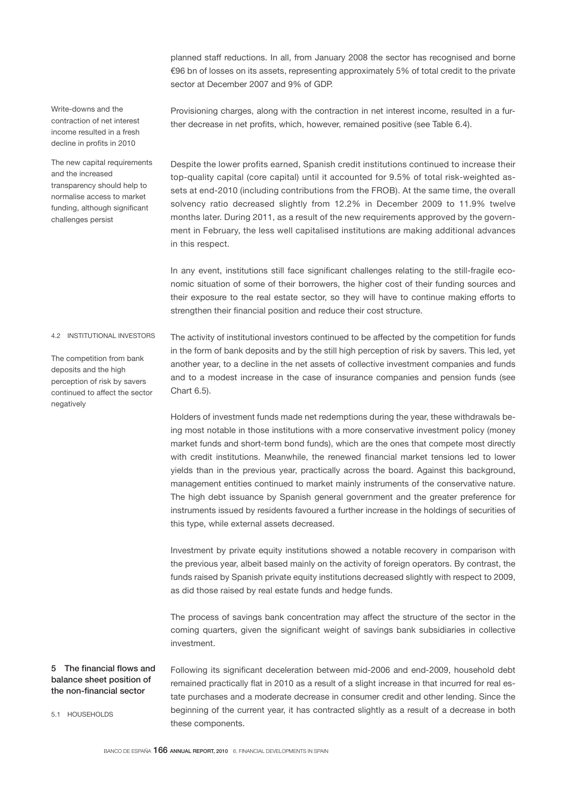planned staff reductions. In all, from January 2008 the sector has recognised and borne €96 bn of losses on its assets, representing approximately 5% of total credit to the private sector at December 2007 and 9% of GDP.

Write-downs and the contraction of net interest income resulted in a fresh decline in profits in 2010

The new capital requirements and the increased transparency should help to normalise access to market funding, although significant challenges persist

Provisioning charges, along with the contraction in net interest income, resulted in a further decrease in net profits, which, however, remained positive (see Table 6.4).

Despite the lower profits earned, Spanish credit institutions continued to increase their top-quality capital (core capital) until it accounted for 9.5% of total risk-weighted assets at end-2010 (including contributions from the FROB). At the same time, the overall solvency ratio decreased slightly from 12.2% in December 2009 to 11.9% twelve months later. During 2011, as a result of the new requirements approved by the government in February, the less well capitalised institutions are making additional advances in this respect.

In any event, institutions still face significant challenges relating to the still-fragile economic situation of some of their borrowers, the higher cost of their funding sources and their exposure to the real estate sector, so they will have to continue making efforts to strengthen their financial position and reduce their cost structure.

4.2 INSTITUTIONAL INVESTORS

The competition from bank deposits and the high perception of risk by savers continued to affect the sector negatively

The activity of institutional investors continued to be affected by the competition for funds in the form of bank deposits and by the still high perception of risk by savers. This led, yet another year, to a decline in the net assets of collective investment companies and funds and to a modest increase in the case of insurance companies and pension funds (see Chart 6.5).

Holders of investment funds made net redemptions during the year, these withdrawals being most notable in those institutions with a more conservative investment policy (money market funds and short-term bond funds), which are the ones that compete most directly with credit institutions. Meanwhile, the renewed financial market tensions led to lower yields than in the previous year, practically across the board. Against this background, management entities continued to market mainly instruments of the conservative nature. The high debt issuance by Spanish general government and the greater preference for instruments issued by residents favoured a further increase in the holdings of securities of this type, while external assets decreased.

Investment by private equity institutions showed a notable recovery in comparison with the previous year, albeit based mainly on the activity of foreign operators. By contrast, the funds raised by Spanish private equity institutions decreased slightly with respect to 2009, as did those raised by real estate funds and hedge funds.

The process of savings bank concentration may affect the structure of the sector in the coming quarters, given the significant weight of savings bank subsidiaries in collective investment.

5 The financial flows and balance sheet position of the non-financial sector

5.1 HOUSEHOLDS

Following its significant deceleration between mid-2006 and end-2009, household debt remained practically flat in 2010 as a result of a slight increase in that incurred for real estate purchases and a moderate decrease in consumer credit and other lending. Since the beginning of the current year, it has contracted slightly as a result of a decrease in both these components.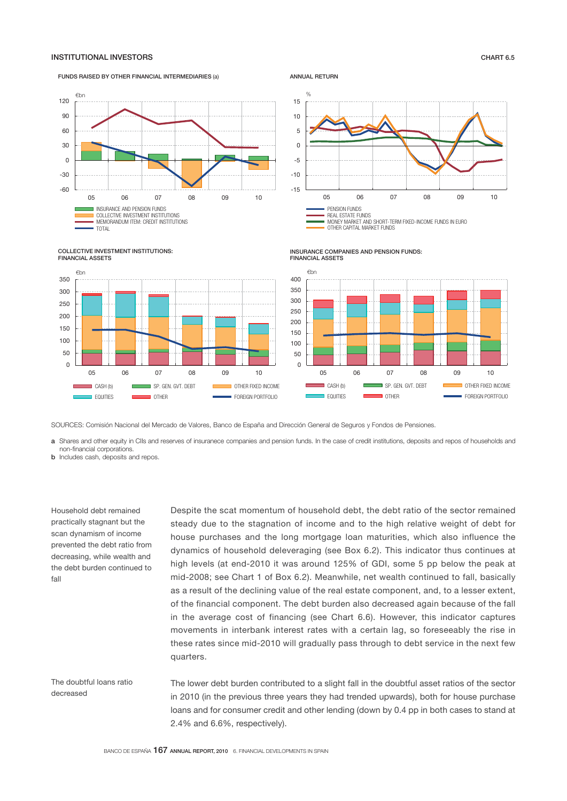### INSTITUTIONAL INVESTORS CHART 6.5

#### FUNDS RAISED BY OTHER FINANCIAL INTERMEDIARIES (a)







COLLECTIVE INVESTMENT INSTITUTIONS: FINANCIAL ASSETS



INSURANCE COMPANIES AND PENSION FUNDS: FINANCIAL ASSETS



SOURCES: Comisión Nacional del Mercado de Valores, Banco de España and Dirección General de Seguros y Fondos de Pensiones.

a Shares and other equity in CIIs and reserves of insuranece companies and pension funds. In the case of credit institutions, deposits and repos of households and non-financial corporations.

**b** Includes cash, deposits and repos.

Household debt remained practically stagnant but the scan dynamism of income prevented the debt ratio from decreasing, while wealth and the debt burden continued to fall

Despite the scat momentum of household debt, the debt ratio of the sector remained steady due to the stagnation of income and to the high relative weight of debt for house purchases and the long mortgage loan maturities, which also influence the dynamics of household deleveraging (see Box 6.2). This indicator thus continues at high levels (at end-2010 it was around 125% of GDI, some 5 pp below the peak at mid-2008; see Chart 1 of Box 6.2). Meanwhile, net wealth continued to fall, basically as a result of the declining value of the real estate component, and, to a lesser extent, of the financial component. The debt burden also decreased again because of the fall in the average cost of financing (see Chart 6.6). However, this indicator captures movements in interbank interest rates with a certain lag, so foreseeably the rise in these rates since mid-2010 will gradually pass through to debt service in the next few quarters.

The doubtful loans ratio decreased

The lower debt burden contributed to a slight fall in the doubtful asset ratios of the sector in 2010 (in the previous three years they had trended upwards), both for house purchase loans and for consumer credit and other lending (down by 0.4 pp in both cases to stand at 2.4% and 6.6%, respectively).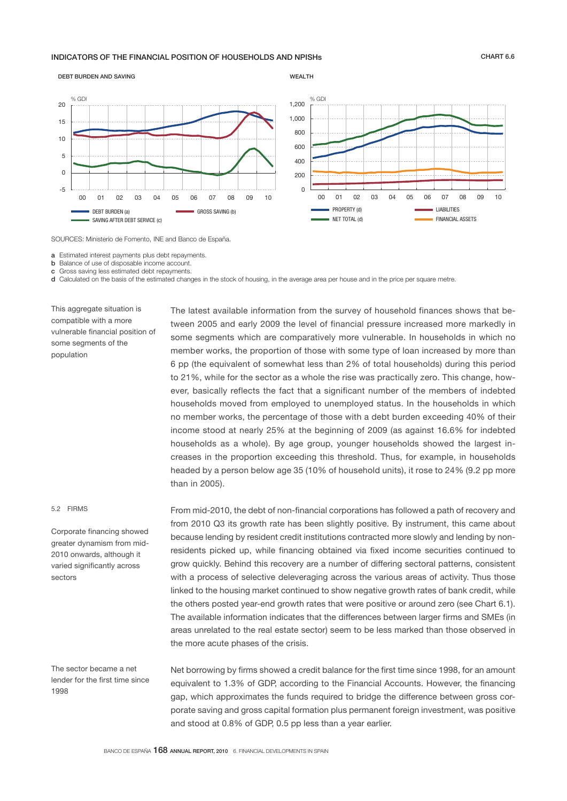## INDICATORS OF THE FINANCIAL POSITION OF HOUSEHOLDS AND NPISHs CHART 6.6



SOURCES: Ministerio de Fomento, INE and Banco de España.

a Estimated interest payments plus debt repayments.

**b** Balance of use of disposable income account.

c Gross saving less estimated debt repayments.

d Calculated on the basis of the estimated changes in the stock of housing, in the average area per house and in the price per square metre.

This aggregate situation is compatible with a more vulnerable financial position of some segments of the population

The latest available information from the survey of household finances shows that between 2005 and early 2009 the level of financial pressure increased more markedly in some segments which are comparatively more vulnerable. In households in which no member works, the proportion of those with some type of loan increased by more than 6 pp (the equivalent of somewhat less than 2% of total households) during this period to 21%, while for the sector as a whole the rise was practically zero. This change, however, basically reflects the fact that a significant number of the members of indebted households moved from employed to unemployed status. In the households in which no member works, the percentage of those with a debt burden exceeding 40% of their income stood at nearly 25% at the beginning of 2009 (as against 16.6% for indebted households as a whole). By age group, younger households showed the largest increases in the proportion exceeding this threshold. Thus, for example, in households headed by a person below age 35 (10% of household units), it rose to 24% (9.2 pp more than in 2005).

#### 5.2 FIRMS

Corporate financing showed greater dynamism from mid-2010 onwards, although it varied significantly across sectors

The sector became a net lender for the first time since 1998

From mid-2010, the debt of non-financial corporations has followed a path of recovery and from 2010 Q3 its growth rate has been slightly positive. By instrument, this came about because lending by resident credit institutions contracted more slowly and lending by nonresidents picked up, while financing obtained via fixed income securities continued to grow quickly. Behind this recovery are a number of differing sectoral patterns, consistent with a process of selective deleveraging across the various areas of activity. Thus those linked to the housing market continued to show negative growth rates of bank credit, while the others posted year-end growth rates that were positive or around zero (see Chart 6.1). The available information indicates that the differences between larger firms and SMEs (in areas unrelated to the real estate sector) seem to be less marked than those observed in the more acute phases of the crisis.

Net borrowing by firms showed a credit balance for the first time since 1998, for an amount equivalent to 1.3% of GDP, according to the Financial Accounts. However, the financing gap, which approximates the funds required to bridge the difference between gross corporate saving and gross capital formation plus permanent foreign investment, was positive and stood at 0.8% of GDP, 0.5 pp less than a year earlier.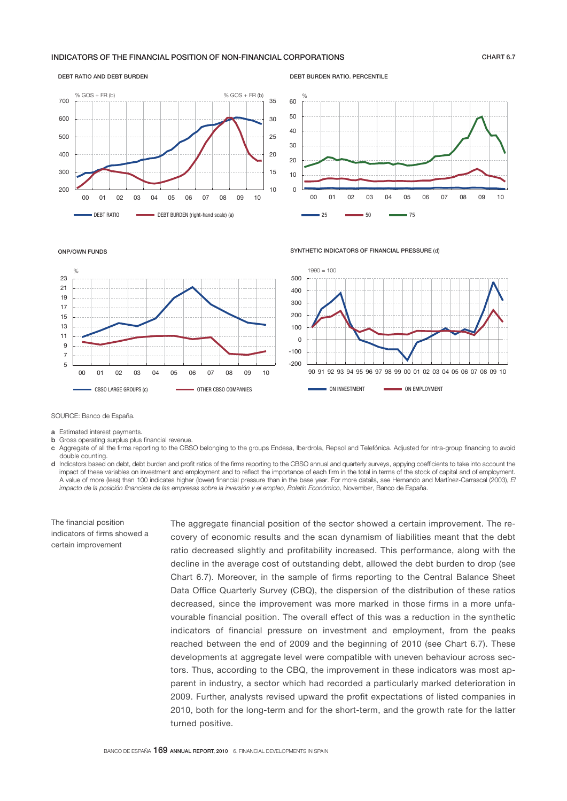# INDICATORS OF THE FINANCIAL POSITION OF NON-FINANCIAL CORPORATIONS CHART 6.7

#### DEBT RATIO AND DEBT BURDEN



DEBT BURDEN RATIO. PERCENTILE



#### ONP/OWN FUNDS

#### SYNTHETIC INDICATORS OF FINANCIAL PRESSURE (d)



SOURCE: Banco de España.

- a Estimated interest payments.
- **b** Gross operating surplus plus financial revenue.
- c Aggregate of all the jrms reporting to the CBSO belonging to the groups Endesa, Iberdrola, Repsol and Telefónica. Adjusted for intra-group jnancing to avoid double counting.
- d Indicators based on debt, debt burden and profit ratios of the firms reporting to the CBSO annual and quarterly surveys, appying coefficients to take into account the impact of these variables on investment and employment and to reflect the importance of each firm in the total in terms of the stock of capital and of employment. A value of more (less) than 100 indicates higher (lower) financial pressure than in the base year. For more datails, see Hernando and Martínez-Carrascal (2003), *El* impacto de la posición financiera de las empresas sobre la inversión y el empleo, Boletín Económico, November, Banco de España.

The financial position indicators of firms showed a certain improvement

The aggregate financial position of the sector showed a certain improvement. The recovery of economic results and the scan dynamism of liabilities meant that the debt ratio decreased slightly and profitability increased. This performance, along with the decline in the average cost of outstanding debt, allowed the debt burden to drop (see Chart 6.7). Moreover, in the sample of firms reporting to the Central Balance Sheet Data Office Quarterly Survey (CBQ), the dispersion of the distribution of these ratios decreased, since the improvement was more marked in those firms in a more unfavourable financial position. The overall effect of this was a reduction in the synthetic indicators of financial pressure on investment and employment, from the peaks reached between the end of 2009 and the beginning of 2010 (see Chart 6.7). These developments at aggregate level were compatible with uneven behaviour across sectors. Thus, according to the CBQ, the improvement in these indicators was most apparent in industry, a sector which had recorded a particularly marked deterioration in 2009. Further, analysts revised upward the profit expectations of listed companies in 2010, both for the long-term and for the short-term, and the growth rate for the latter turned positive.